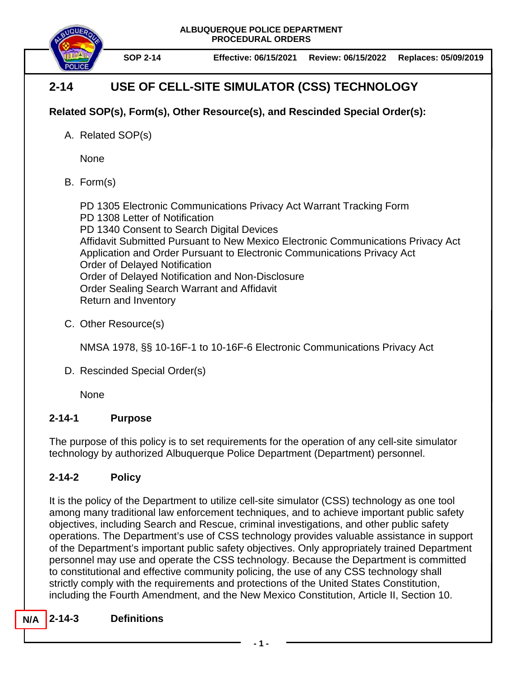**ALBUQUERQUE POLICE DEPARTMENT PROCEDURAL ORDERS**



**SOP 2-14 Effective: 06/15/2021 Review: 06/15/2022 Replaces: 05/09/2019**

# **2-14 USE OF CELL-SITE SIMULATOR (CSS) TECHNOLOGY**

# **Related SOP(s), Form(s), Other Resource(s), and Rescinded Special Order(s):**

A. Related SOP(s)

None

B. Form(s)

PD 1305 Electronic Communications Privacy Act Warrant Tracking Form PD 1308 Letter of Notification PD 1340 Consent to Search Digital Devices Affidavit Submitted Pursuant to New Mexico Electronic Communications Privacy Act Application and Order Pursuant to Electronic Communications Privacy Act Order of Delayed Notification Order of Delayed Notification and Non-Disclosure Order Sealing Search Warrant and Affidavit Return and Inventory

C. Other Resource(s)

NMSA 1978, §§ 10-16F-1 to 10-16F-6 Electronic Communications Privacy Act

D. Rescinded Special Order(s)

None

# **2-14-1 Purpose**

The purpose of this policy is to set requirements for the operation of any cell-site simulator technology by authorized Albuquerque Police Department (Department) personnel.

# **2-14-2 Policy**

It is the policy of the Department to utilize cell-site simulator (CSS) technology as one tool among many traditional law enforcement techniques, and to achieve important public safety objectives, including Search and Rescue, criminal investigations, and other public safety operations. The Department's use of CSS technology provides valuable assistance in support of the Department's important public safety objectives. Only appropriately trained Department personnel may use and operate the CSS technology. Because the Department is committed to constitutional and effective community policing, the use of any CSS technology shall strictly comply with the requirements and protections of the United States Constitution, including the Fourth Amendment, and the New Mexico Constitution, Article II, Section 10.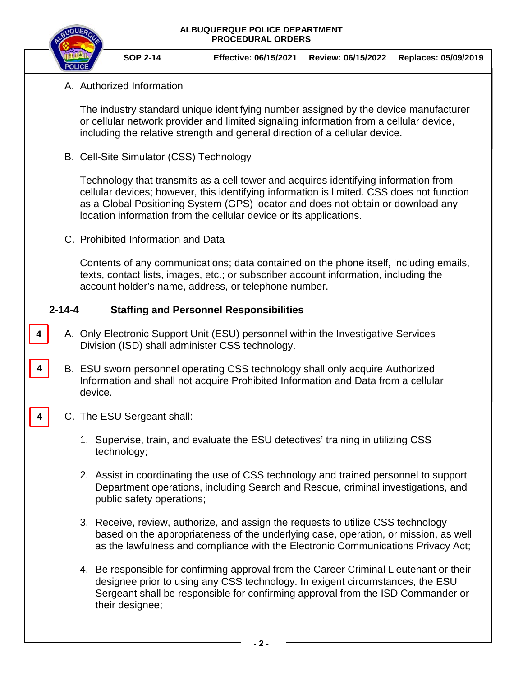#### **ALBUQUERQUE POLICE DEPARTMENT PROCEDURAL ORDERS**



**SOP 2-14 Effective: 06/15/2021 Review: 06/15/2022 Replaces: 05/09/2019**

### A. Authorized Information

The industry standard unique identifying number assigned by the device manufacturer or cellular network provider and limited signaling information from a cellular device, including the relative strength and general direction of a cellular device.

B. Cell-Site Simulator (CSS) Technology

Technology that transmits as a cell tower and acquires identifying information from cellular devices; however, this identifying information is limited. CSS does not function as a Global Positioning System (GPS) locator and does not obtain or download any location information from the cellular device or its applications.

C. Prohibited Information and Data

Contents of any communications; data contained on the phone itself, including emails, texts, contact lists, images, etc.; or subscriber account information, including the account holder's name, address, or telephone number.

### **2-14-4 Staffing and Personnel Responsibilities**

- A. Only Electronic Support Unit (ESU) personnel within the Investigative Services Division (ISD) shall administer CSS technology.
- B. ESU sworn personnel operating CSS technology shall only acquire Authorized Information and shall not acquire Prohibited Information and Data from a cellular device.
- C. The ESU Sergeant shall:

**4**

**4**

**4**

- 1. Supervise, train, and evaluate the ESU detectives' training in utilizing CSS technology;
- 2. Assist in coordinating the use of CSS technology and trained personnel to support Department operations, including Search and Rescue, criminal investigations, and public safety operations;
- 3. Receive, review, authorize, and assign the requests to utilize CSS technology based on the appropriateness of the underlying case, operation, or mission, as well as the lawfulness and compliance with the Electronic Communications Privacy Act;
- 4. Be responsible for confirming approval from the Career Criminal Lieutenant or their designee prior to using any CSS technology. In exigent circumstances, the ESU Sergeant shall be responsible for confirming approval from the ISD Commander or their designee;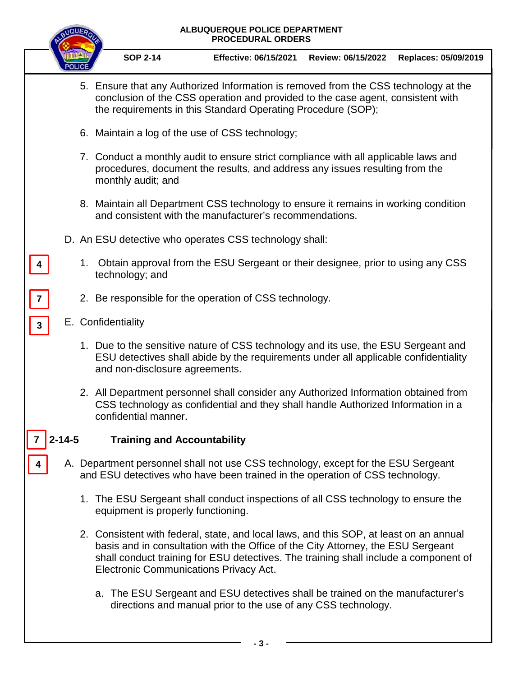| ALBUQUERQUE POLICE DEPARTMENT<br><b>PROCEDURAL ORDERS</b> |    |                                                                                                                                                                                                                                                                                                              |  |  |  |  |  |
|-----------------------------------------------------------|----|--------------------------------------------------------------------------------------------------------------------------------------------------------------------------------------------------------------------------------------------------------------------------------------------------------------|--|--|--|--|--|
|                                                           |    | <b>SOP 2-14</b><br><b>Effective: 06/15/2021</b><br>Review: 06/15/2022<br>Replaces: 05/09/2019                                                                                                                                                                                                                |  |  |  |  |  |
|                                                           |    | 5. Ensure that any Authorized Information is removed from the CSS technology at the<br>conclusion of the CSS operation and provided to the case agent, consistent with<br>the requirements in this Standard Operating Procedure (SOP);                                                                       |  |  |  |  |  |
|                                                           |    | 6. Maintain a log of the use of CSS technology;                                                                                                                                                                                                                                                              |  |  |  |  |  |
|                                                           |    | 7. Conduct a monthly audit to ensure strict compliance with all applicable laws and<br>procedures, document the results, and address any issues resulting from the<br>monthly audit; and                                                                                                                     |  |  |  |  |  |
|                                                           |    | 8. Maintain all Department CSS technology to ensure it remains in working condition<br>and consistent with the manufacturer's recommendations.                                                                                                                                                               |  |  |  |  |  |
|                                                           |    | D. An ESU detective who operates CSS technology shall:                                                                                                                                                                                                                                                       |  |  |  |  |  |
|                                                           | 1. | Obtain approval from the ESU Sergeant or their designee, prior to using any CSS<br>technology; and                                                                                                                                                                                                           |  |  |  |  |  |
| $\overline{7}$                                            |    | 2. Be responsible for the operation of CSS technology.                                                                                                                                                                                                                                                       |  |  |  |  |  |
| $\mathbf{3}$                                              |    | E. Confidentiality                                                                                                                                                                                                                                                                                           |  |  |  |  |  |
|                                                           |    | 1. Due to the sensitive nature of CSS technology and its use, the ESU Sergeant and<br>ESU detectives shall abide by the requirements under all applicable confidentiality<br>and non-disclosure agreements.                                                                                                  |  |  |  |  |  |
|                                                           |    | 2. All Department personnel shall consider any Authorized Information obtained from<br>CSS technology as confidential and they shall handle Authorized Information in a<br>confidential manner.                                                                                                              |  |  |  |  |  |
| $2 - 14 - 5$                                              |    | <b>Training and Accountability</b>                                                                                                                                                                                                                                                                           |  |  |  |  |  |
|                                                           |    | A. Department personnel shall not use CSS technology, except for the ESU Sergeant<br>and ESU detectives who have been trained in the operation of CSS technology.                                                                                                                                            |  |  |  |  |  |
|                                                           |    | 1. The ESU Sergeant shall conduct inspections of all CSS technology to ensure the<br>equipment is properly functioning.                                                                                                                                                                                      |  |  |  |  |  |
|                                                           |    | 2. Consistent with federal, state, and local laws, and this SOP, at least on an annual<br>basis and in consultation with the Office of the City Attorney, the ESU Sergeant<br>shall conduct training for ESU detectives. The training shall include a component of<br>Electronic Communications Privacy Act. |  |  |  |  |  |
|                                                           |    | a. The ESU Sergeant and ESU detectives shall be trained on the manufacturer's<br>directions and manual prior to the use of any CSS technology.                                                                                                                                                               |  |  |  |  |  |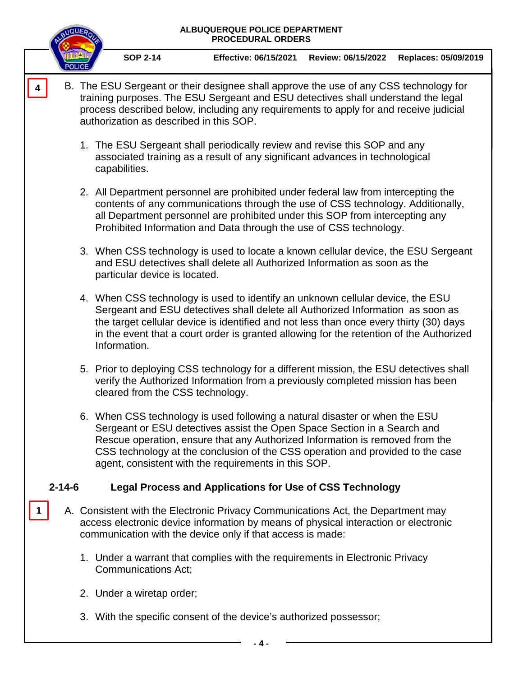# **ALBUQUERQUE POLICE DEPARTMENT PROCEDURAL ORDERS SOP 2-14 Effective: 06/15/2021 Review: 06/15/2022 Replaces: 05/09/2019** B. The ESU Sergeant or their designee shall approve the use of any CSS technology for training purposes. The ESU Sergeant and ESU detectives shall understand the legal process described below, including any requirements to apply for and receive judicial authorization as described in this SOP. 1. The ESU Sergeant shall periodically review and revise this SOP and any associated training as a result of any significant advances in technological capabilities. 2. All Department personnel are prohibited under federal law from intercepting the contents of any communications through the use of CSS technology. Additionally, all Department personnel are prohibited under this SOP from intercepting any Prohibited Information and Data through the use of CSS technology. 3. When CSS technology is used to locate a known cellular device, the ESU Sergeant and ESU detectives shall delete all Authorized Information as soon as the particular device is located. 4. When CSS technology is used to identify an unknown cellular device, the ESU Sergeant and ESU detectives shall delete all Authorized Information as soon as the target cellular device is identified and not less than once every thirty (30) days in the event that a court order is granted allowing for the retention of the Authorized Information. 5. Prior to deploying CSS technology for a different mission, the ESU detectives shall verify the Authorized Information from a previously completed mission has been cleared from the CSS technology. 6. When CSS technology is used following a natural disaster or when the ESU

Sergeant or ESU detectives assist the Open Space Section in a Search and Rescue operation, ensure that any Authorized Information is removed from the CSS technology at the conclusion of the CSS operation and provided to the case agent, consistent with the requirements in this SOP.

# **2-14-6 Legal Process and Applications for Use of CSS Technology**

- A. Consistent with the Electronic Privacy Communications Act, the Department may access electronic device information by means of physical interaction or electronic communication with the device only if that access is made:
	- 1. Under a warrant that complies with the requirements in Electronic Privacy Communications Act;
	- 2. Under a wiretap order;

**1**

**4**

3. With the specific consent of the device's authorized possessor;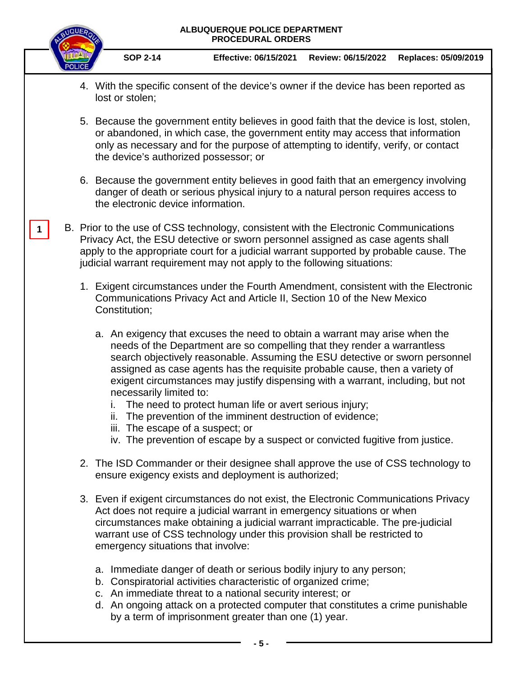#### **ALBUQUERQUE POLICE DEPARTMENT PROCEDURAL ORDERS**



**SOP 2-14 Effective: 06/15/2021 Review: 06/15/2022 Replaces: 05/09/2019**

- 4. With the specific consent of the device's owner if the device has been reported as lost or stolen;
- 5. Because the government entity believes in good faith that the device is lost, stolen, or abandoned, in which case, the government entity may access that information only as necessary and for the purpose of attempting to identify, verify, or contact the device's authorized possessor; or
- 6. Because the government entity believes in good faith that an emergency involving danger of death or serious physical injury to a natural person requires access to the electronic device information.
- B. Prior to the use of CSS technology, consistent with the Electronic Communications Privacy Act, the ESU detective or sworn personnel assigned as case agents shall apply to the appropriate court for a judicial warrant supported by probable cause. The judicial warrant requirement may not apply to the following situations: **1**
	- 1. Exigent circumstances under the Fourth Amendment, consistent with the Electronic Communications Privacy Act and Article II, Section 10 of the New Mexico Constitution;
		- a. An exigency that excuses the need to obtain a warrant may arise when the needs of the Department are so compelling that they render a warrantless search objectively reasonable. Assuming the ESU detective or sworn personnel assigned as case agents has the requisite probable cause, then a variety of exigent circumstances may justify dispensing with a warrant, including, but not necessarily limited to:
			- i. The need to protect human life or avert serious injury;
			- ii. The prevention of the imminent destruction of evidence;
			- iii. The escape of a suspect; or
			- iv. The prevention of escape by a suspect or convicted fugitive from justice.
	- 2. The ISD Commander or their designee shall approve the use of CSS technology to ensure exigency exists and deployment is authorized;
	- 3. Even if exigent circumstances do not exist, the Electronic Communications Privacy Act does not require a judicial warrant in emergency situations or when circumstances make obtaining a judicial warrant impracticable. The pre-judicial warrant use of CSS technology under this provision shall be restricted to emergency situations that involve:
		- a. Immediate danger of death or serious bodily injury to any person;
		- b. Conspiratorial activities characteristic of organized crime;
		- c. An immediate threat to a national security interest; or
		- d. An ongoing attack on a protected computer that constitutes a crime punishable by a term of imprisonment greater than one (1) year.